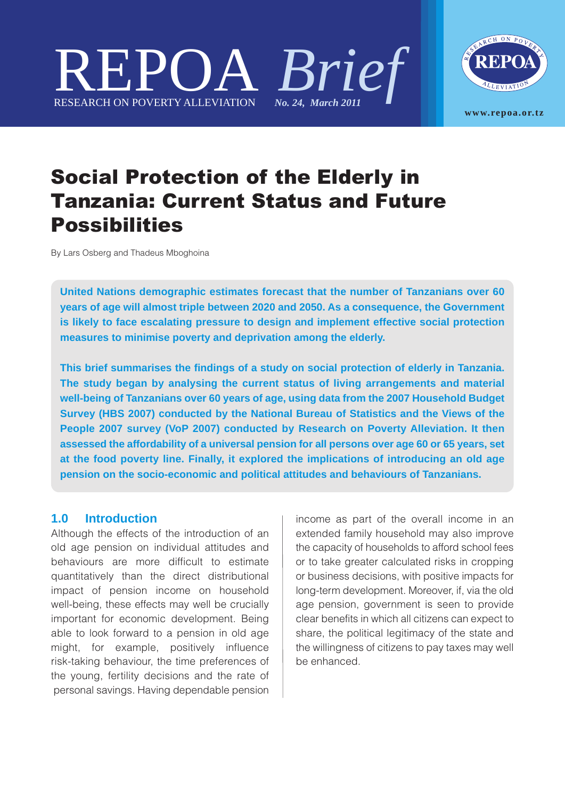



# Social Protection of the Elderly in Tanzania: Current Status and Future Possibilities

By Lars Osberg and Thadeus Mboghoina

**United Nations demographic estimates forecast that the number of Tanzanians over 60 years of age will almost triple between 2020 and 2050. As a consequence, the Government is likely to face escalating pressure to design and implement effective social protection measures to minimise poverty and deprivation among the elderly.**

**This brief summarises the findings of a study on social protection of elderly in Tanzania. The study began by analysing the current status of living arrangements and material well-being of Tanzanians over 60 years of age, using data from the 2007 Household Budget Survey (HBS 2007) conducted by the National Bureau of Statistics and the Views of the People 2007 survey (VoP 2007) conducted by Research on Poverty Alleviation. It then assessed the affordability of a universal pension for all persons over age 60 or 65 years, set at the food poverty line. Finally, it explored the implications of introducing an old age pension on the socio-economic and political attitudes and behaviours of Tanzanians.**

#### **1.0 Introduction**

Although the effects of the introduction of an old age pension on individual attitudes and behaviours are more difficult to estimate quantitatively than the direct distributional impact of pension income on household well-being, these effects may well be crucially important for economic development. Being able to look forward to a pension in old age might, for example, positively influence risk-taking behaviour, the time preferences of the young, fertility decisions and the rate of personal savings. Having dependable pension income as part of the overall income in an extended family household may also improve the capacity of households to afford school fees or to take greater calculated risks in cropping or business decisions, with positive impacts for long-term development. Moreover, if, via the old age pension, government is seen to provide clear benefits in which all citizens can expect to share, the political legitimacy of the state and the willingness of citizens to pay taxes may well be enhanced.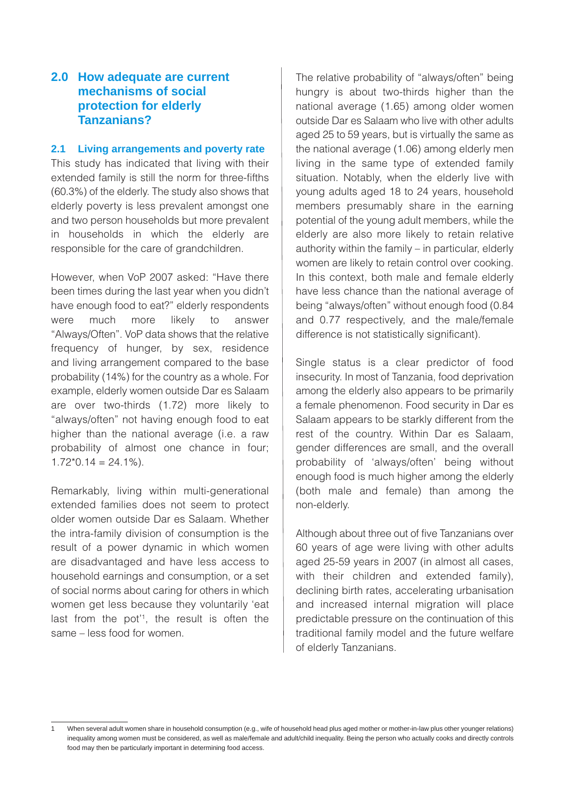## **2.0 How adequate are current mechanisms of social protection for elderly Tanzanians?**

#### **2.1 Living arrangements and poverty rate**

This study has indicated that living with their extended family is still the norm for three-fifths (60.3%) of the elderly. The study also shows that elderly poverty is less prevalent amongst one and two person households but more prevalent in households in which the elderly are responsible for the care of grandchildren.

However, when VoP 2007 asked: "Have there been times during the last year when you didn't have enough food to eat?" elderly respondents were much more likely to answer "Always/Often". VoP data shows that the relative frequency of hunger, by sex, residence and living arrangement compared to the base probability (14%) for the country as a whole. For example, elderly women outside Dar es Salaam are over two-thirds (1.72) more likely to "always/often" not having enough food to eat higher than the national average (i.e. a raw probability of almost one chance in four;  $1.72*0.14 = 24.1%$ .

Remarkably, living within multi-generational extended families does not seem to protect older women outside Dar es Salaam. Whether the intra-family division of consumption is the result of a power dynamic in which women are disadvantaged and have less access to household earnings and consumption, or a set of social norms about caring for others in which women get less because they voluntarily 'eat last from the pot<sup>'1</sup>, the result is often the same – less food for women.

The relative probability of "always/often" being hungry is about two-thirds higher than the national average (1.65) among older women outside Dar es Salaam who live with other adults aged 25 to 59 years, but is virtually the same as the national average (1.06) among elderly men living in the same type of extended family situation. Notably, when the elderly live with young adults aged 18 to 24 years, household members presumably share in the earning potential of the young adult members, while the elderly are also more likely to retain relative authority within the family – in particular, elderly women are likely to retain control over cooking. In this context, both male and female elderly have less chance than the national average of being "always/often" without enough food (0.84 and 0.77 respectively, and the male/female difference is not statistically significant).

Single status is a clear predictor of food insecurity. In most of Tanzania, food deprivation among the elderly also appears to be primarily a female phenomenon. Food security in Dar es Salaam appears to be starkly different from the rest of the country. Within Dar es Salaam, gender differences are small, and the overall probability of 'always/often' being without enough food is much higher among the elderly (both male and female) than among the non-elderly.

Although about three out of five Tanzanians over 60 years of age were living with other adults aged 25-59 years in 2007 (in almost all cases, with their children and extended family), declining birth rates, accelerating urbanisation and increased internal migration will place predictable pressure on the continuation of this traditional family model and the future welfare of elderly Tanzanians.

When several adult women share in household consumption (e.g., wife of household head plus aged mother or mother-in-law plus other younger relations) inequality among women must be considered, as well as male/female and adult/child inequality. Being the person who actually cooks and directly controls food may then be particularly important in determining food access.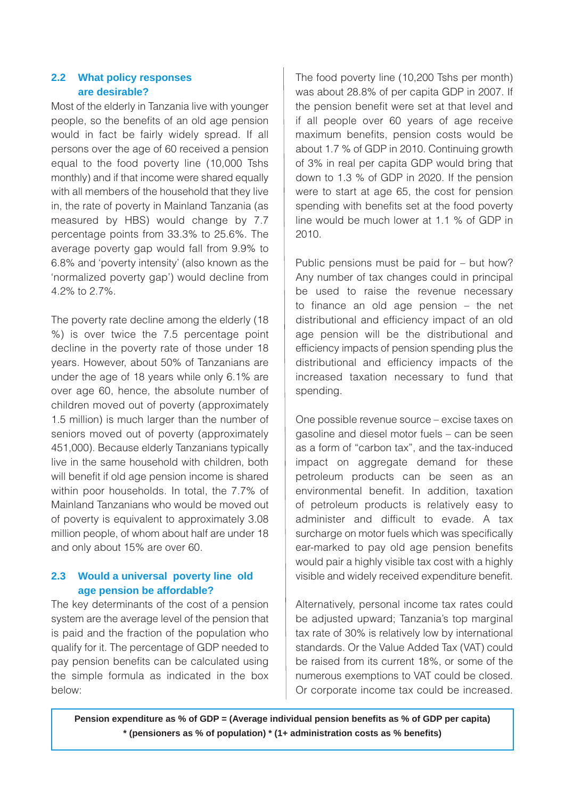#### **2.2 What policy responses are desirable?**

Most of the elderly in Tanzania live with younger people, so the benefits of an old age pension would in fact be fairly widely spread. If all persons over the age of 60 received a pension equal to the food poverty line (10,000 Tshs monthly) and if that income were shared equally with all members of the household that they live in, the rate of poverty in Mainland Tanzania (as measured by HBS) would change by 7.7 percentage points from 33.3% to 25.6%. The average poverty gap would fall from 9.9% to 6.8% and 'poverty intensity' (also known as the 'normalized poverty gap') would decline from 4.2% to 2.7%.

The poverty rate decline among the elderly (18 %) is over twice the 7.5 percentage point decline in the poverty rate of those under 18 years. However, about 50% of Tanzanians are under the age of 18 years while only 6.1% are over age 60, hence, the absolute number of children moved out of poverty (approximately 1.5 million) is much larger than the number of seniors moved out of poverty (approximately 451,000). Because elderly Tanzanians typically live in the same household with children, both will benefit if old age pension income is shared within poor households. In total, the 7.7% of Mainland Tanzanians who would be moved out of poverty is equivalent to approximately 3.08 million people, of whom about half are under 18 and only about 15% are over 60.

#### **2.3 Would a universal poverty line old age pension be affordable?**

The key determinants of the cost of a pension system are the average level of the pension that is paid and the fraction of the population who qualify for it. The percentage of GDP needed to pay pension benefits can be calculated using the simple formula as indicated in the box below:

The food poverty line (10,200 Tshs per month) was about 28.8% of per capita GDP in 2007. If the pension benefit were set at that level and if all people over 60 years of age receive maximum benefits, pension costs would be about 1.7 % of GDP in 2010. Continuing growth of 3% in real per capita GDP would bring that down to 1.3 % of GDP in 2020. If the pension were to start at age 65, the cost for pension spending with benefits set at the food poverty line would be much lower at 1.1 % of GDP in 2010.

Public pensions must be paid for – but how? Any number of tax changes could in principal be used to raise the revenue necessary to finance an old age pension – the net distributional and efficiency impact of an old age pension will be the distributional and efficiency impacts of pension spending plus the distributional and efficiency impacts of the increased taxation necessary to fund that spending.

One possible revenue source – excise taxes on gasoline and diesel motor fuels – can be seen as a form of "carbon tax", and the tax-induced impact on aggregate demand for these petroleum products can be seen as an environmental benefit. In addition, taxation of petroleum products is relatively easy to administer and difficult to evade. A tax surcharge on motor fuels which was specifically ear-marked to pay old age pension benefits would pair a highly visible tax cost with a highly visible and widely received expenditure benefit.

Alternatively, personal income tax rates could be adjusted upward; Tanzania's top marginal tax rate of 30% is relatively low by international standards. Or the Value Added Tax (VAT) could be raised from its current 18%, or some of the numerous exemptions to VAT could be closed. Or corporate income tax could be increased.

**Pension expenditure as % of GDP = (Average individual pension benefits as % of GDP per capita) \* (pensioners as % of population) \* (1+ administration costs as % benefits)**